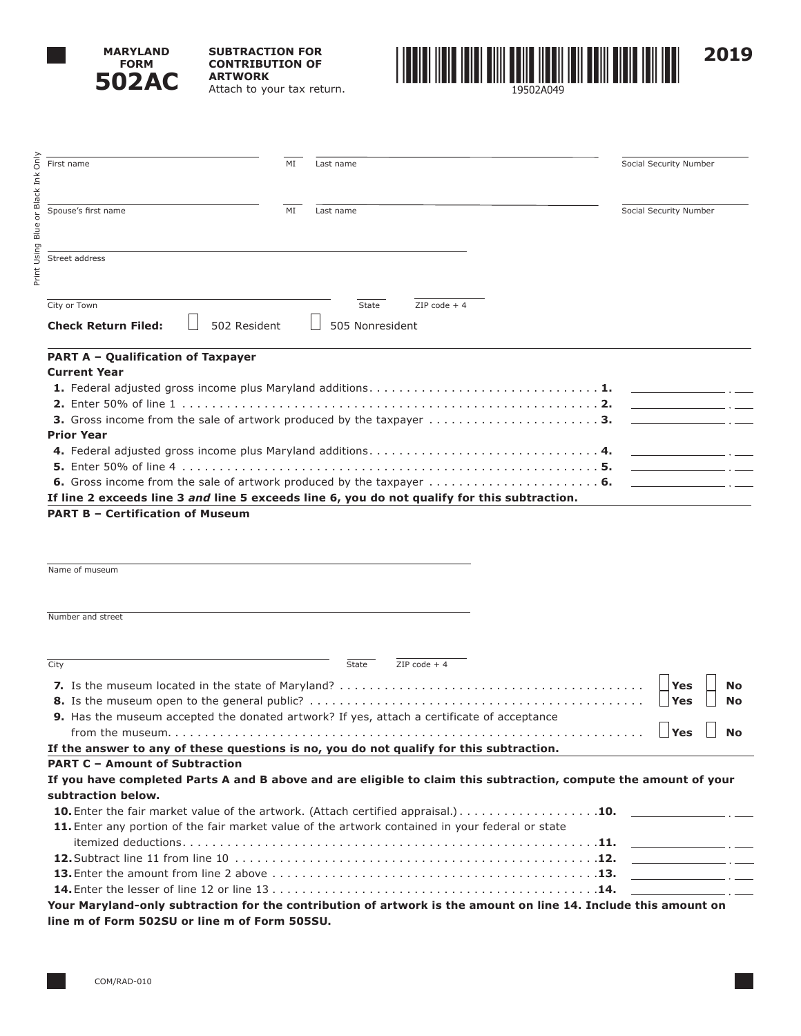

Print Using Blue or Black Ink Only

Using Blue

Print

or Black

Only Ě **SUBTRACTION FOR CONTRIBUTION OF ARTWORK** Attach to your tax return.



 **PART A – Qualification of Taxpayer**  from the museum. . . . . . . . . . . . . . . . . . . . . . . . . . . . . . . . . . . . . . . . . . . . . . . . . . . . . . . . . . . . . . . . **Yes No**   $\Box$  boz keskelk  $\Box$  $\overline{\phantom{a}}$   $\overline{\phantom{a}}$   $\overline{\phantom{a}}$   $\overline{\phantom{a}}$   $\overline{\phantom{a}}$   $\overline{\phantom{a}}$   $\overline{\phantom{a}}$   $\overline{\phantom{a}}$   $\overline{\phantom{a}}$   $\overline{\phantom{a}}$   $\overline{\phantom{a}}$   $\overline{\phantom{a}}$   $\overline{\phantom{a}}$   $\overline{\phantom{a}}$   $\overline{\phantom{a}}$   $\overline{\phantom{a}}$   $\overline{\phantom{a}}$   $\overline{\phantom{a}}$   $\overline{\$  $\overbrace{\hspace{27mm}}$   $\overbrace{\hspace{27mm}}$   $\overbrace{\hspace{27mm}}$   $\overbrace{\hspace{27mm}}$   $\overbrace{\hspace{27mm}}$   $\overbrace{\hspace{27mm}}$   $\overbrace{\hspace{27mm}}$ │ Yes │ No<br>│ Yes │ No<br>│ Yes │ No □ □ -·- First name Social Security Number (No. 2016) Manus 2016 Manus 2016 (No. 2016) Social Security Number (No. 2016) Spouse's first name **MI** Last name MI Last name Social Security Number Street address City or Town **Check Return Filed:** 502 Resident  $\overline{\text{State}}$   $\overline{\text{ZIP code + 4}}$ 505 Nonresident **Current Year 1.** Federal adjusted gross income plus Maryland additions. . . . . . . . . . . . . . . . . . . . . . . . . . . . . . . **1. 2.** Enter 50% of line 1 . . . . . . . . . . . . . . . . . . . . . . . . . . . . . . . . . . . . . . . . . . . . . . . . . . . . . . . . **2. 3.** Gross income from the sale of artwork produced by the taxpayer . . . . . . . . . . . . . . . . . . . . . . . **3. Prior Year 4.** Federal adjusted gross income plus Maryland additions. . . . . . . . . . . . . . . . . . . . . . . . . . . . . . . **4. 5.** Enter 50% of line 4 . . . . . . . . . . . . . . . . . . . . . . . . . . . . . . . . . . . . . . . . . . . . . . . . . . . . . . . . **5. 6.** Gross income from the sale of artwork produced by the taxpayer . . . . . . . . . . . . . . . . . . . . . . . **6. If line 2 exceeds line 3** *and* **line 5 exceeds line 6, you do not qualify for this subtraction. PART B – Certification of Museum**  Name of museum **Number and street** The City State TIP code + 4 **7.** Is the museum located in the state of Maryland? . . . . . . . . . . . . . . . . . . . . . . . . . . . . . . . . . . . . . . . . . **Yes No 8.** Is the museum open to the general public? . . . . . . . . . . . . . . . . . . . . . . . . . . . . . . . . . . . . . . . . . . . . . **Yes No 9.** Has the museum accepted the donated artwork? If yes, attach a certificate of acceptance **If the answer to any of these questions is no, you do not qualify for this subtraction. PART C – Amount of Subtraction If you have completed Parts A and B above and are eligible to claim this subtraction, compute the amount of your subtraction below. 10.** Enter the fair market value of the artwork. (Attach certified appraisal.) . . . . . . . . . . . . . . . . . . .**10.**  11. Enter any portion of the fair market value of the artwork contained in your federal or state itemized deductions. . . . . . . . . . . . . . . . . . . . . . . . . . . . . . . . . . . . . . . . . . . . . . . . . . . . . . . .**11. 12.**Subtract line 11 from line 10 . . . . . . . . . . . . . . . . . . . . . . . . . . . . . . . . . . . . . . . . . . . . . . . . .**12. 13.** Enter the amount from line 2 above . . . . . . . . . . . . . . . . . . . . . . . . . . . . . . . . . . . . . . . . . . . .**13. 14.** Enter the lesser of line 12 or line 13 . . . . . . . . . . . . . . . . . . . . . . . . . . . . . . . . . . . . . . . . . . . .**14. Your Maryland-only subtraction for the contribution of artwork is the amount on line 14. Include this amount on** 

**line m of Form 502SU or line m of Form 505SU.**